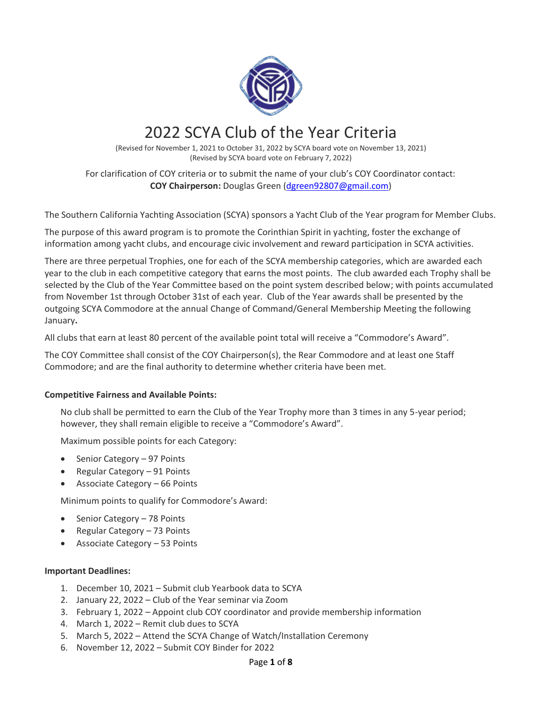

# 2022 SCYA Club of the Year Criteria

(Revised for November 1, 2021 to October 31, 2022 by SCYA board vote on November 13, 2021) (Revised by SCYA board vote on February 7, 2022)

For clarification of COY criteria or to submit the name of your club's COY Coordinator contact: **COY Chairperson:** Douglas Green [\(dgreen92807@gmail.com\)](mailto:dgreen92807@gmail.com)

The Southern California Yachting Association (SCYA) sponsors a Yacht Club of the Year program for Member Clubs.

The purpose of this award program is to promote the Corinthian Spirit in yachting, foster the exchange of information among yacht clubs, and encourage civic involvement and reward participation in SCYA activities.

There are three perpetual Trophies, one for each of the SCYA membership categories, which are awarded each year to the club in each competitive category that earns the most points. The club awarded each Trophy shall be selected by the Club of the Year Committee based on the point system described below; with points accumulated from November 1st through October 31st of each year. Club of the Year awards shall be presented by the outgoing SCYA Commodore at the annual Change of Command/General Membership Meeting the following January**.**

All clubs that earn at least 80 percent of the available point total will receive a "Commodore's Award".

The COY Committee shall consist of the COY Chairperson(s), the Rear Commodore and at least one Staff Commodore; and are the final authority to determine whether criteria have been met.

# **Competitive Fairness and Available Points:**

No club shall be permitted to earn the Club of the Year Trophy more than 3 times in any 5-year period; however, they shall remain eligible to receive a "Commodore's Award".

Maximum possible points for each Category:

- Senior Category 97 Points
- Regular Category 91 Points
- Associate Category 66 Points

Minimum points to qualify for Commodore's Award:

- Senior Category 78 Points
- Regular Category 73 Points
- Associate Category 53 Points

#### **Important Deadlines:**

- 1. December 10, 2021 Submit club Yearbook data to SCYA
- 2. January 22, 2022 Club of the Year seminar via Zoom
- 3. February 1, 2022 Appoint club COY coordinator and provide membership information
- 4. March 1, 2022 Remit club dues to SCYA
- 5. March 5, 2022 Attend the SCYA Change of Watch/Installation Ceremony
- 6. November 12, 2022 Submit COY Binder for 2022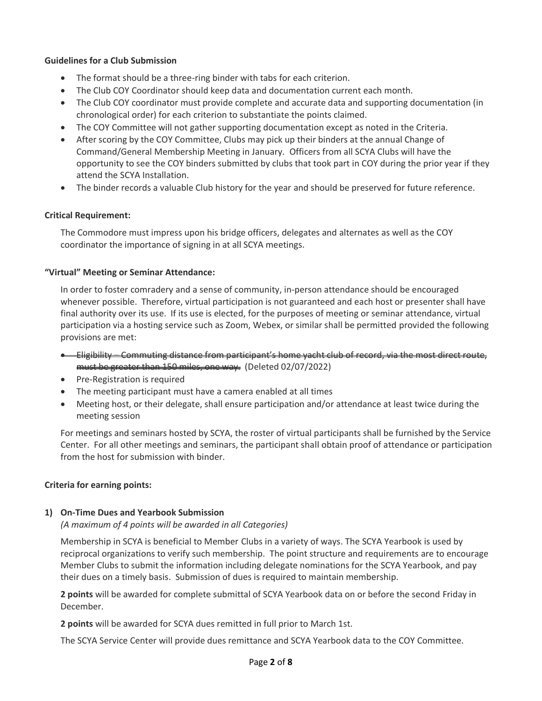## **Guidelines for a Club Submission**

- The format should be a three-ring binder with tabs for each criterion.
- The Club COY Coordinator should keep data and documentation current each month.
- The Club COY coordinator must provide complete and accurate data and supporting documentation (in chronological order) for each criterion to substantiate the points claimed.
- The COY Committee will not gather supporting documentation except as noted in the Criteria.
- After scoring by the COY Committee, Clubs may pick up their binders at the annual Change of Command/General Membership Meeting in January. Officers from all SCYA Clubs will have the opportunity to see the COY binders submitted by clubs that took part in COY during the prior year if they attend the SCYA Installation.
- The binder records a valuable Club history for the year and should be preserved for future reference.

#### **Critical Requirement:**

The Commodore must impress upon his bridge officers, delegates and alternates as well as the COY coordinator the importance of signing in at all SCYA meetings.

## **"Virtual" Meeting or Seminar Attendance:**

In order to foster comradery and a sense of community, in-person attendance should be encouraged whenever possible. Therefore, virtual participation is not guaranteed and each host or presenter shall have final authority over its use. If its use is elected, for the purposes of meeting or seminar attendance, virtual participation via a hosting service such as Zoom, Webex, or similar shall be permitted provided the following provisions are met:

- Eligibility Commuting distance from participant's home yacht club of record, via the most direct rout must be greater than 150 miles, one way. (Deleted 02/07/2022)
- Pre-Registration is required
- The meeting participant must have a camera enabled at all times
- Meeting host, or their delegate, shall ensure participation and/or attendance at least twice during the meeting session

For meetings and seminars hosted by SCYA, the roster of virtual participants shall be furnished by the Service Center. For all other meetings and seminars, the participant shall obtain proof of attendance or participation from the host for submission with binder.

# **Criteria for earning points:**

#### **1) On-Time Dues and Yearbook Submission**

*(A maximum of 4 points will be awarded in all Categories)*

Membership in SCYA is beneficial to Member Clubs in a variety of ways. The SCYA Yearbook is used by reciprocal organizations to verify such membership. The point structure and requirements are to encourage Member Clubs to submit the information including delegate nominations for the SCYA Yearbook, and pay their dues on a timely basis. Submission of dues is required to maintain membership.

**2 points** will be awarded for complete submittal of SCYA Yearbook data on or before the second Friday in December.

**2 points** will be awarded for SCYA dues remitted in full prior to March 1st.

The SCYA Service Center will provide dues remittance and SCYA Yearbook data to the COY Committee.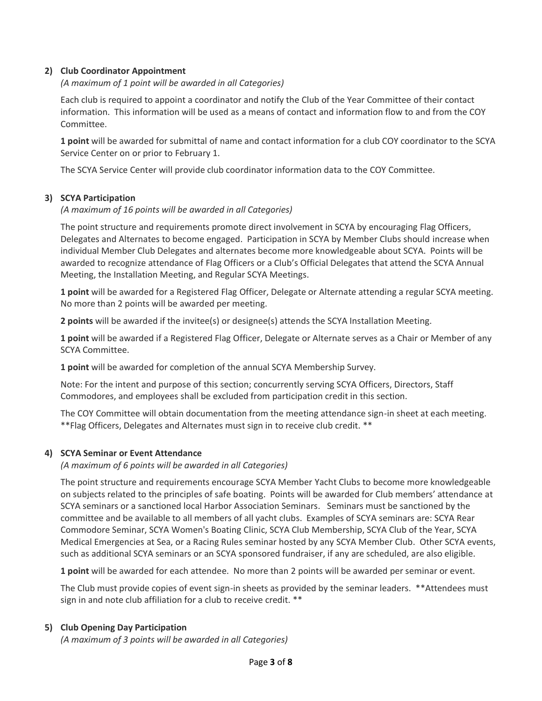# **2) Club Coordinator Appointment**

## *(A maximum of 1 point will be awarded in all Categories)*

Each club is required to appoint a coordinator and notify the Club of the Year Committee of their contact information. This information will be used as a means of contact and information flow to and from the COY Committee.

**1 point** will be awarded for submittal of name and contact information for a club COY coordinator to the SCYA Service Center on or prior to February 1.

The SCYA Service Center will provide club coordinator information data to the COY Committee.

## **3) SCYA Participation**

## *(A maximum of 16 points will be awarded in all Categories)*

The point structure and requirements promote direct involvement in SCYA by encouraging Flag Officers, Delegates and Alternates to become engaged. Participation in SCYA by Member Clubs should increase when individual Member Club Delegates and alternates become more knowledgeable about SCYA. Points will be awarded to recognize attendance of Flag Officers or a Club's Official Delegates that attend the SCYA Annual Meeting, the Installation Meeting, and Regular SCYA Meetings.

**1 point** will be awarded for a Registered Flag Officer, Delegate or Alternate attending a regular SCYA meeting. No more than 2 points will be awarded per meeting.

**2 points** will be awarded if the invitee(s) or designee(s) attends the SCYA Installation Meeting.

**1 point** will be awarded if a Registered Flag Officer, Delegate or Alternate serves as a Chair or Member of any SCYA Committee.

**1 point** will be awarded for completion of the annual SCYA Membership Survey.

Note: For the intent and purpose of this section; concurrently serving SCYA Officers, Directors, Staff Commodores, and employees shall be excluded from participation credit in this section.

The COY Committee will obtain documentation from the meeting attendance sign-in sheet at each meeting. \*\*Flag Officers, Delegates and Alternates must sign in to receive club credit. \*\*

#### **4) SCYA Seminar or Event Attendance**

*(A maximum of 6 points will be awarded in all Categories)*

The point structure and requirements encourage SCYA Member Yacht Clubs to become more knowledgeable on subjects related to the principles of safe boating. Points will be awarded for Club members' attendance at SCYA seminars or a sanctioned local Harbor Association Seminars. Seminars must be sanctioned by the committee and be available to all members of all yacht clubs. Examples of SCYA seminars are: SCYA Rear Commodore Seminar, SCYA Women's Boating Clinic, SCYA Club Membership, SCYA Club of the Year, SCYA Medical Emergencies at Sea, or a Racing Rules seminar hosted by any SCYA Member Club. Other SCYA events, such as additional SCYA seminars or an SCYA sponsored fundraiser, if any are scheduled, are also eligible.

**1 point** will be awarded for each attendee. No more than 2 points will be awarded per seminar or event.

The Club must provide copies of event sign-in sheets as provided by the seminar leaders. \*\*Attendees must sign in and note club affiliation for a club to receive credit. \*\*

#### **5) Club Opening Day Participation**

*(A maximum of 3 points will be awarded in all Categories)*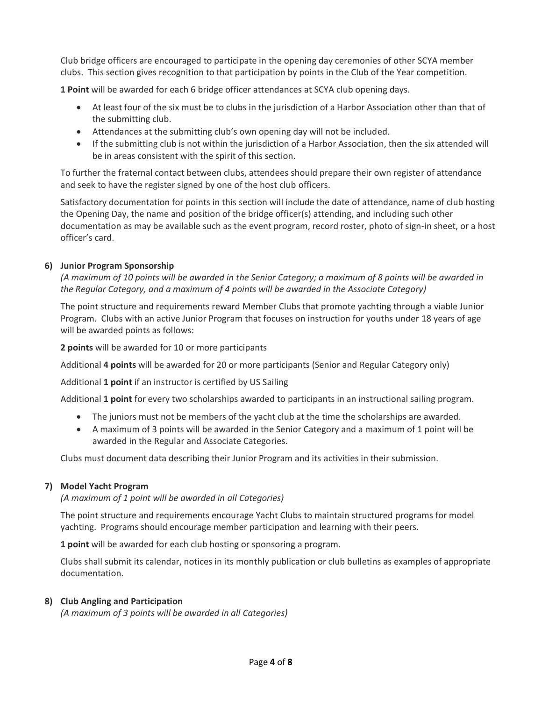Club bridge officers are encouraged to participate in the opening day ceremonies of other SCYA member clubs. This section gives recognition to that participation by points in the Club of the Year competition.

**1 Point** will be awarded for each 6 bridge officer attendances at SCYA club opening days.

- At least four of the six must be to clubs in the jurisdiction of a Harbor Association other than that of the submitting club.
- Attendances at the submitting club's own opening day will not be included.
- If the submitting club is not within the jurisdiction of a Harbor Association, then the six attended will be in areas consistent with the spirit of this section.

To further the fraternal contact between clubs, attendees should prepare their own register of attendance and seek to have the register signed by one of the host club officers.

Satisfactory documentation for points in this section will include the date of attendance, name of club hosting the Opening Day, the name and position of the bridge officer(s) attending, and including such other documentation as may be available such as the event program, record roster, photo of sign-in sheet, or a host officer's card.

## **6) Junior Program Sponsorship**

*(A maximum of 10 points will be awarded in the Senior Category; a maximum of 8 points will be awarded in the Regular Category, and a maximum of 4 points will be awarded in the Associate Category)*

The point structure and requirements reward Member Clubs that promote yachting through a viable Junior Program. Clubs with an active Junior Program that focuses on instruction for youths under 18 years of age will be awarded points as follows:

**2 points** will be awarded for 10 or more participants

Additional **4 points** will be awarded for 20 or more participants (Senior and Regular Category only)

Additional **1 point** if an instructor is certified by US Sailing

Additional **1 point** for every two scholarships awarded to participants in an instructional sailing program.

- The juniors must not be members of the yacht club at the time the scholarships are awarded.
- A maximum of 3 points will be awarded in the Senior Category and a maximum of 1 point will be awarded in the Regular and Associate Categories.

Clubs must document data describing their Junior Program and its activities in their submission.

#### **7) Model Yacht Program**

*(A maximum of 1 point will be awarded in all Categories)*

The point structure and requirements encourage Yacht Clubs to maintain structured programs for model yachting. Programs should encourage member participation and learning with their peers.

**1 point** will be awarded for each club hosting or sponsoring a program.

Clubs shall submit its calendar, notices in its monthly publication or club bulletins as examples of appropriate documentation.

#### **8) Club Angling and Participation**

*(A maximum of 3 points will be awarded in all Categories)*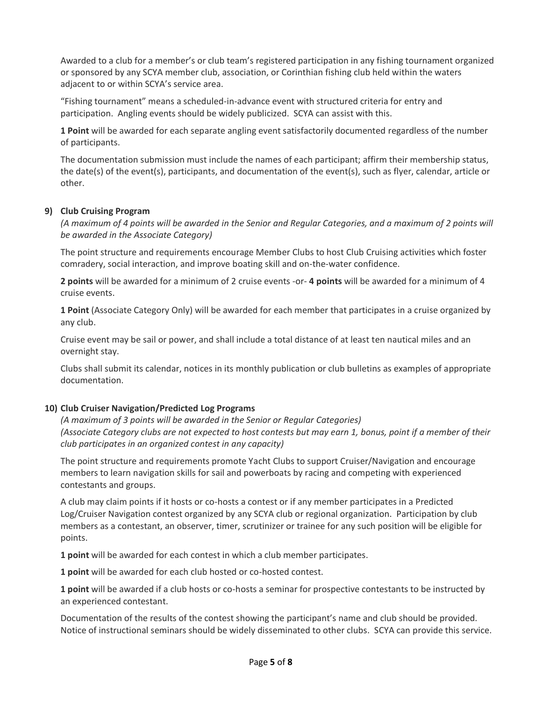Awarded to a club for a member's or club team's registered participation in any fishing tournament organized or sponsored by any SCYA member club, association, or Corinthian fishing club held within the waters adjacent to or within SCYA's service area.

"Fishing tournament" means a scheduled-in-advance event with structured criteria for entry and participation. Angling events should be widely publicized. SCYA can assist with this.

**1 Point** will be awarded for each separate angling event satisfactorily documented regardless of the number of participants.

The documentation submission must include the names of each participant; affirm their membership status, the date(s) of the event(s), participants, and documentation of the event(s), such as flyer, calendar, article or other.

## **9) Club Cruising Program**

*(A maximum of 4 points will be awarded in the Senior and Regular Categories, and a maximum of 2 points will be awarded in the Associate Category)*

The point structure and requirements encourage Member Clubs to host Club Cruising activities which foster comradery, social interaction, and improve boating skill and on-the-water confidence.

**2 points** will be awarded for a minimum of 2 cruise events -or- **4 points** will be awarded for a minimum of 4 cruise events.

**1 Point** (Associate Category Only) will be awarded for each member that participates in a cruise organized by any club.

Cruise event may be sail or power, and shall include a total distance of at least ten nautical miles and an overnight stay.

Clubs shall submit its calendar, notices in its monthly publication or club bulletins as examples of appropriate documentation.

#### **10) Club Cruiser Navigation/Predicted Log Programs**

*(A maximum of 3 points will be awarded in the Senior or Regular Categories) (Associate Category clubs are not expected to host contests but may earn 1, bonus, point if a member of their club participates in an organized contest in any capacity)*

The point structure and requirements promote Yacht Clubs to support Cruiser/Navigation and encourage members to learn navigation skills for sail and powerboats by racing and competing with experienced contestants and groups.

A club may claim points if it hosts or co-hosts a contest or if any member participates in a Predicted Log/Cruiser Navigation contest organized by any SCYA club or regional organization. Participation by club members as a contestant, an observer, timer, scrutinizer or trainee for any such position will be eligible for points.

**1 point** will be awarded for each contest in which a club member participates.

**1 point** will be awarded for each club hosted or co-hosted contest.

**1 point** will be awarded if a club hosts or co-hosts a seminar for prospective contestants to be instructed by an experienced contestant.

Documentation of the results of the contest showing the participant's name and club should be provided. Notice of instructional seminars should be widely disseminated to other clubs. SCYA can provide this service.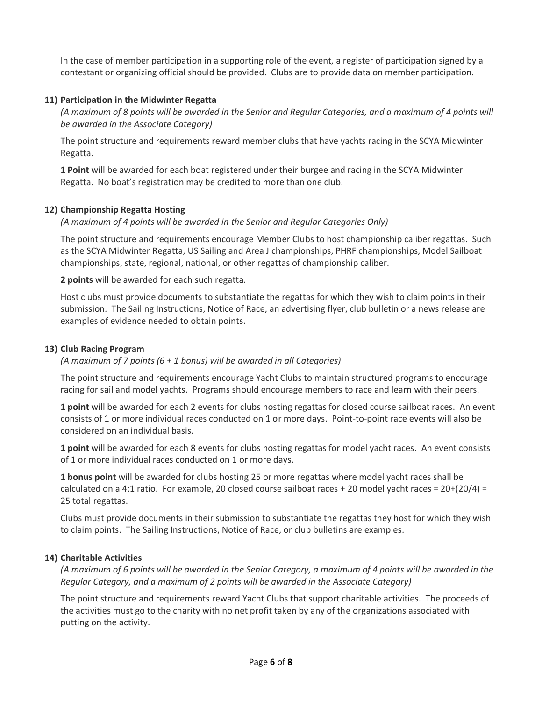In the case of member participation in a supporting role of the event, a register of participation signed by a contestant or organizing official should be provided. Clubs are to provide data on member participation.

## **11) Participation in the Midwinter Regatta**

*(A maximum of 8 points will be awarded in the Senior and Regular Categories, and a maximum of 4 points will be awarded in the Associate Category)*

The point structure and requirements reward member clubs that have yachts racing in the SCYA Midwinter Regatta.

**1 Point** will be awarded for each boat registered under their burgee and racing in the SCYA Midwinter Regatta. No boat's registration may be credited to more than one club.

## **12) Championship Regatta Hosting**

*(A maximum of 4 points will be awarded in the Senior and Regular Categories Only)*

The point structure and requirements encourage Member Clubs to host championship caliber regattas. Such as the SCYA Midwinter Regatta, US Sailing and Area J championships, PHRF championships, Model Sailboat championships, state, regional, national, or other regattas of championship caliber.

**2 points** will be awarded for each such regatta.

Host clubs must provide documents to substantiate the regattas for which they wish to claim points in their submission. The Sailing Instructions, Notice of Race, an advertising flyer, club bulletin or a news release are examples of evidence needed to obtain points.

#### **13) Club Racing Program**

*(A maximum of 7 points (6 + 1 bonus) will be awarded in all Categories)*

The point structure and requirements encourage Yacht Clubs to maintain structured programs to encourage racing for sail and model yachts. Programs should encourage members to race and learn with their peers.

**1 point** will be awarded for each 2 events for clubs hosting regattas for closed course sailboat races. An event consists of 1 or more individual races conducted on 1 or more days. Point-to-point race events will also be considered on an individual basis.

**1 point** will be awarded for each 8 events for clubs hosting regattas for model yacht races. An event consists of 1 or more individual races conducted on 1 or more days.

**1 bonus point** will be awarded for clubs hosting 25 or more regattas where model yacht races shall be calculated on a 4:1 ratio. For example, 20 closed course sailboat races + 20 model yacht races =  $20+(20/4)$  = 25 total regattas.

Clubs must provide documents in their submission to substantiate the regattas they host for which they wish to claim points. The Sailing Instructions, Notice of Race, or club bulletins are examples.

#### **14) Charitable Activities**

*(A maximum of 6 points will be awarded in the Senior Category, a maximum of 4 points will be awarded in the Regular Category, and a maximum of 2 points will be awarded in the Associate Category)*

The point structure and requirements reward Yacht Clubs that support charitable activities. The proceeds of the activities must go to the charity with no net profit taken by any of the organizations associated with putting on the activity.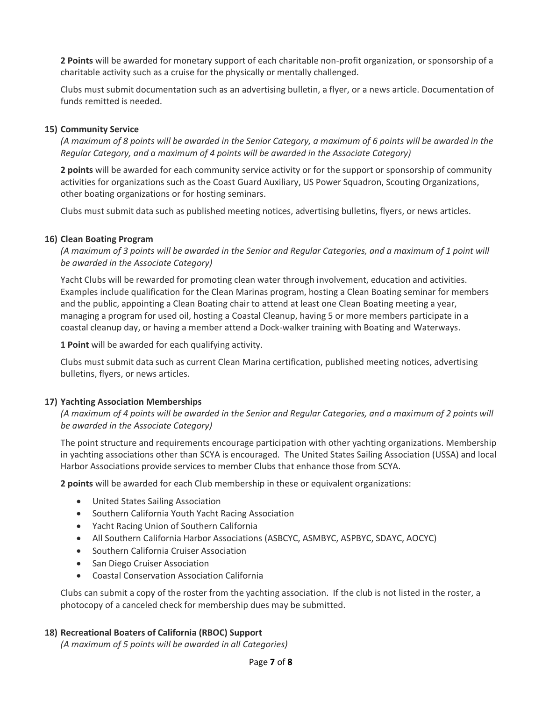**2 Points** will be awarded for monetary support of each charitable non-profit organization, or sponsorship of a charitable activity such as a cruise for the physically or mentally challenged.

Clubs must submit documentation such as an advertising bulletin, a flyer, or a news article. Documentation of funds remitted is needed.

## **15) Community Service**

*(A maximum of 8 points will be awarded in the Senior Category, a maximum of 6 points will be awarded in the Regular Category, and a maximum of 4 points will be awarded in the Associate Category)*

**2 points** will be awarded for each community service activity or for the support or sponsorship of community activities for organizations such as the Coast Guard Auxiliary, US Power Squadron, Scouting Organizations, other boating organizations or for hosting seminars.

Clubs must submit data such as published meeting notices, advertising bulletins, flyers, or news articles.

#### **16) Clean Boating Program**

*(A maximum of 3 points will be awarded in the Senior and Regular Categories, and a maximum of 1 point will be awarded in the Associate Category)*

Yacht Clubs will be rewarded for promoting clean water through involvement, education and activities. Examples include qualification for the Clean Marinas program, hosting a Clean Boating seminar for members and the public, appointing a Clean Boating chair to attend at least one Clean Boating meeting a year, managing a program for used oil, hosting a Coastal Cleanup, having 5 or more members participate in a coastal cleanup day, or having a member attend a Dock-walker training with Boating and Waterways.

**1 Point** will be awarded for each qualifying activity.

Clubs must submit data such as current Clean Marina certification, published meeting notices, advertising bulletins, flyers, or news articles.

#### **17) Yachting Association Memberships**

*(A maximum of 4 points will be awarded in the Senior and Regular Categories, and a maximum of 2 points will be awarded in the Associate Category)*

The point structure and requirements encourage participation with other yachting organizations. Membership in yachting associations other than SCYA is encouraged. The United States Sailing Association (USSA) and local Harbor Associations provide services to member Clubs that enhance those from SCYA.

**2 points** will be awarded for each Club membership in these or equivalent organizations:

- United States Sailing Association
- Southern California Youth Yacht Racing Association
- Yacht Racing Union of Southern California
- All Southern California Harbor Associations (ASBCYC, ASMBYC, ASPBYC, SDAYC, AOCYC)
- Southern California Cruiser Association
- San Diego Cruiser Association
- Coastal Conservation Association California

Clubs can submit a copy of the roster from the yachting association. If the club is not listed in the roster, a photocopy of a canceled check for membership dues may be submitted.

#### **18) Recreational Boaters of California (RBOC) Support**

*(A maximum of 5 points will be awarded in all Categories)*